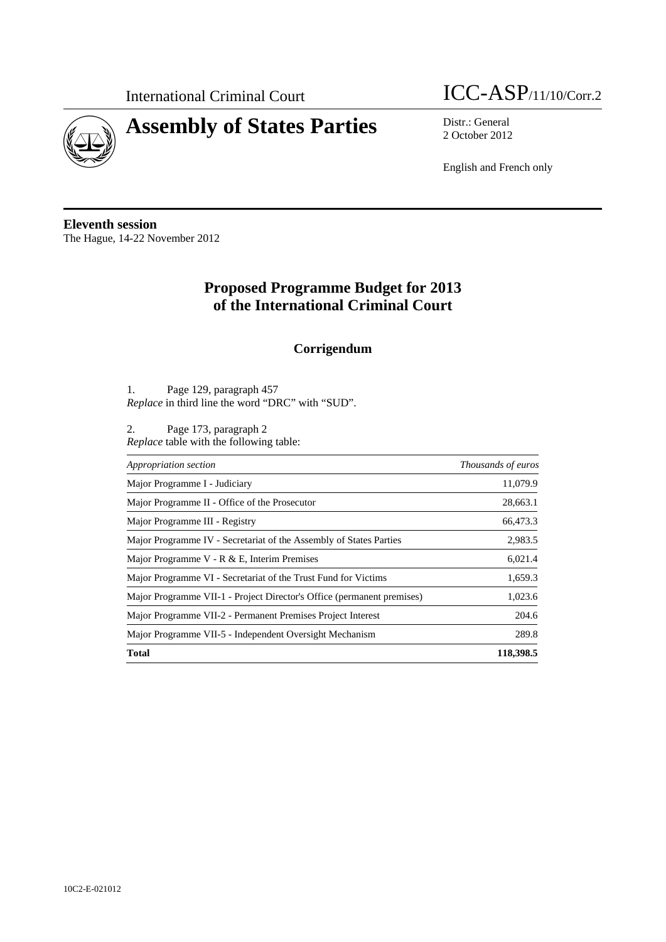

## **Assembly of States Parties** Distr.: General



2 October 2012

English and French only

**Eleventh session**  The Hague, 14-22 November 2012

## **Proposed Programme Budget for 2013 of the International Criminal Court**

## **Corrigendum**

1. Page 129, paragraph 457 *Replace* in third line the word "DRC" with "SUD".

2. Page 173, paragraph 2 *Replace* table with the following table:

| Appropriation section                                                  | Thousands of euros |
|------------------------------------------------------------------------|--------------------|
| Major Programme I - Judiciary                                          | 11,079.9           |
| Major Programme II - Office of the Prosecutor                          | 28,663.1           |
| Major Programme III - Registry                                         | 66,473.3           |
| Major Programme IV - Secretariat of the Assembly of States Parties     | 2,983.5            |
| Major Programme V - R & E, Interim Premises                            | 6,021.4            |
| Major Programme VI - Secretariat of the Trust Fund for Victims         | 1,659.3            |
| Major Programme VII-1 - Project Director's Office (permanent premises) | 1,023.6            |
| Major Programme VII-2 - Permanent Premises Project Interest            | 204.6              |
| Major Programme VII-5 - Independent Oversight Mechanism                | 289.8              |
| <b>Total</b>                                                           | 118,398.5          |